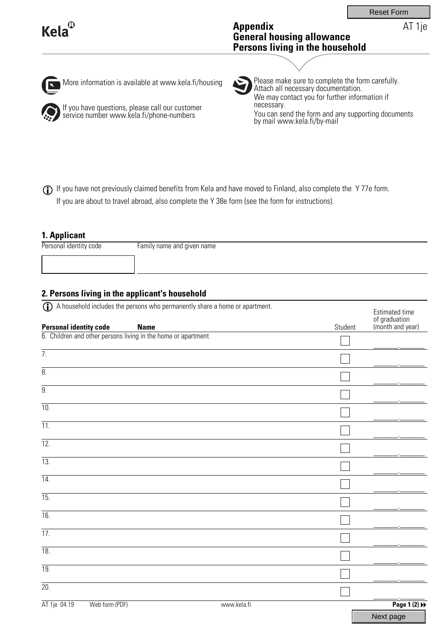AT 1je

# **Kela**

### **Appendix General housing allowance Persons living in the household**

 $\vert \mathbf{x} \vert$ 

More information is available at www.kela.fi/housing



If you have questions, please call our customer service number www.kela.fi/phone-numbers

Please make sure to complete the form carefully. Attach all necessary documentation. We may contact you for further information if necessary. You can send the form and any supporting documents by mail www.kela.fi/by-mail

If you have not previously claimed benefits from Kela and have moved to Finland, also complete the Y 77e form. L If you are about to travel abroad, also complete the Y 38e form (see the form for instructions).

## **1. Applicant**

Personal identity code Family name and given name

## **2. Persons living in the applicant's household**

| $\mathbf{r}$<br>A household includes the persons who permanently share a home or apartment. |             | Estimated time                    |
|---------------------------------------------------------------------------------------------|-------------|-----------------------------------|
| <b>Personal identity code</b><br><b>Name</b>                                                | Student     | of graduation<br>(month and year) |
| 6. Children and other persons living in the home or apartment                               |             |                                   |
| $\overline{7}$ .                                                                            |             |                                   |
| 8.                                                                                          |             |                                   |
| $\overline{9}$ .                                                                            |             |                                   |
| $\overline{10}$                                                                             |             |                                   |
| $\overline{11}$ .                                                                           |             |                                   |
| $\overline{12}$ .                                                                           |             |                                   |
| 13.                                                                                         |             |                                   |
| 14.                                                                                         |             |                                   |
| $\overline{15}$                                                                             |             |                                   |
| $\overline{16}$ .                                                                           |             |                                   |
| $\overline{17}$ .                                                                           |             |                                   |
| 18.                                                                                         |             |                                   |
| 19.                                                                                         |             |                                   |
|                                                                                             |             |                                   |
| $\overline{20}$ .                                                                           |             |                                   |
| AT 1je 04.19<br>Web form (PDF)                                                              | www.kela.fi | Page 1 (2) $\blacktriangleright$  |